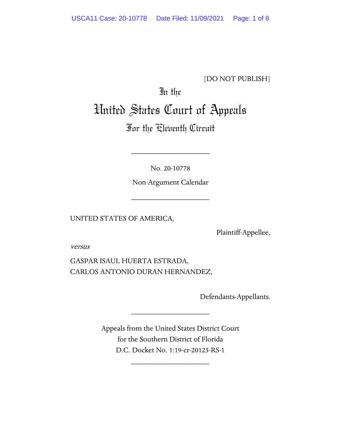[DO NOT PUBLISH]

# In the United States Court of Appeals

# For the Eleventh Circuit

No. 20-10778

\_\_\_\_\_\_\_\_\_\_\_\_\_\_\_\_\_\_\_\_

Non-Argument Calendar

\_\_\_\_\_\_\_\_\_\_\_\_\_\_\_\_\_\_\_\_

UNITED STATES OF AMERICA,

Plaintiff-Appellee,

versus

GASPAR ISAUL HUERTA ESTRADA, CARLOS ANTONIO DURAN HERNANDEZ,

Defendants-Appellants.

Appeals from the United States District Court for the Southern District of Florida D.C. Docket No. 1:19-cr-20123-RS-1

\_\_\_\_\_\_\_\_\_\_\_\_\_\_\_\_\_\_\_\_

\_\_\_\_\_\_\_\_\_\_\_\_\_\_\_\_\_\_\_\_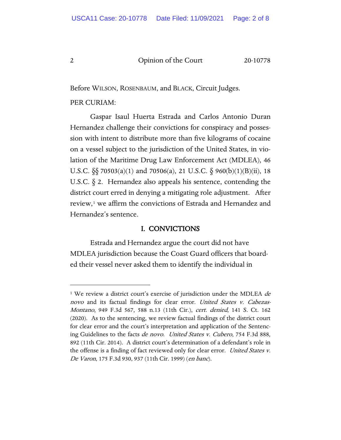Before WILSON, ROSENBAUM, and BLACK, Circuit Judges.

#### PER CURIAM:

Gaspar Isaul Huerta Estrada and Carlos Antonio Duran Hernandez challenge their convictions for conspiracy and possession with intent to distribute more than five kilograms of cocaine on a vessel subject to the jurisdiction of the United States, in violation of the Maritime Drug Law Enforcement Act (MDLEA), 46 U.S.C. §§ 70503(a)(1) and 70506(a), 21 U.S.C. § 960(b)(1)(B)(ii), 18 U.S.C. § 2. Hernandez also appeals his sentence, contending the district court erred in denying a mitigating role adjustment. After review,[1](#page-1-0) we affirm the convictions of Estrada and Hernandez and Hernandez's sentence.

## I. CONVICTIONS

Estrada and Hernandez argue the court did not have MDLEA jurisdiction because the Coast Guard officers that boarded their vessel never asked them to identify the individual in

<span id="page-1-0"></span><sup>&</sup>lt;sup>1</sup> We review a district court's exercise of jurisdiction under the MDLEA  $de$ novo and its factual findings for clear error. United States v. Cabezas-Montano, 949 F.3d 567, 588 n.13 (11th Cir.), cert. denied, 141 S. Ct. 162 (2020). As to the sentencing, we review factual findings of the district court for clear error and the court's interpretation and application of the Sentencing Guidelines to the facts *de novo. United States v. Cubero*, 754 F.3d 888, 892 (11th Cir. 2014). A district court's determination of a defendant's role in the offense is a finding of fact reviewed only for clear error. United States v. De Varon, 175 F.3d 930, 937 (11th Cir. 1999) (en banc).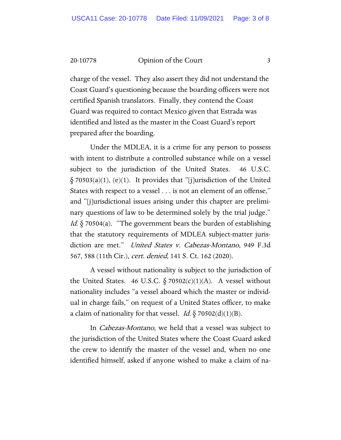20-10778 Opinion of the Court 3

charge of the vessel. They also assert they did not understand the Coast Guard's questioning because the boarding officers were not certified Spanish translators. Finally, they contend the Coast Guard was required to contact Mexico given that Estrada was identified and listed as the master in the Coast Guard's report prepared after the boarding.

Under the MDLEA, it is a crime for any person to possess with intent to distribute a controlled substance while on a vessel subject to the jurisdiction of the United States. 46 U.S.C.  $\S$  70503(a)(1), (e)(1). It provides that "[j]urisdiction of the United States with respect to a vessel . . . is not an element of an offense," and "[j]urisdictional issues arising under this chapter are preliminary questions of law to be determined solely by the trial judge." *Id.*  $\S$  70504(a). "The government bears the burden of establishing that the statutory requirements of MDLEA subject-matter jurisdiction are met." United States v. Cabezas-Montano, 949 F.3d 567, 588 (11th Cir.), *cert. denied*, 141 S. Ct. 162 (2020).

A vessel without nationality is subject to the jurisdiction of the United States. 46 U.S.C.  $\S 70502(c)(1)(A)$ . A vessel without nationality includes "a vessel aboard which the master or individual in charge fails," on request of a United States officer, to make a claim of nationality for that vessel. *Id.*  $\S$  70502(d)(1)(B).

In Cabezas-Montano, we held that a vessel was subject to the jurisdiction of the United States where the Coast Guard asked the crew to identify the master of the vessel and, when no one identified himself, asked if anyone wished to make a claim of na-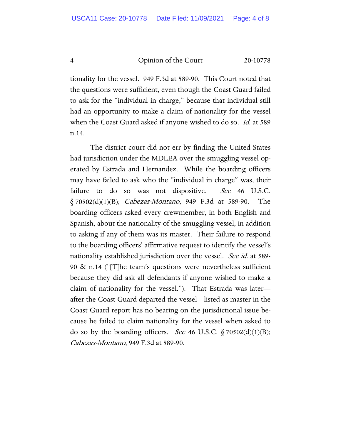tionality for the vessel. 949 F.3d at 589-90. This Court noted that the questions were sufficient, even though the Coast Guard failed to ask for the "individual in charge," because that individual still had an opportunity to make a claim of nationality for the vessel when the Coast Guard asked if anyone wished to do so. *Id.* at 589 n.14.

The district court did not err by finding the United States had jurisdiction under the MDLEA over the smuggling vessel operated by Estrada and Hernandez. While the boarding officers may have failed to ask who the "individual in charge" was, their failure to do so was not dispositive. See 46 U.S.C.  $\delta$  70502(d)(1)(B); *Cabezas-Montano*, 949 F.3d at 589-90. The boarding officers asked every crewmember, in both English and Spanish, about the nationality of the smuggling vessel, in addition to asking if any of them was its master. Their failure to respond to the boarding officers' affirmative request to identify the vessel's nationality established jurisdiction over the vessel. See id. at 589-90 & n.14 ("[T]he team's questions were nevertheless sufficient because they did ask all defendants if anyone wished to make a claim of nationality for the vessel."). That Estrada was later after the Coast Guard departed the vessel—listed as master in the Coast Guard report has no bearing on the jurisdictional issue because he failed to claim nationality for the vessel when asked to do so by the boarding officers. *See* 46 U.S.C.  $\S 70502(d)(1)(B);$ Cabezas-Montano, 949 F.3d at 589-90.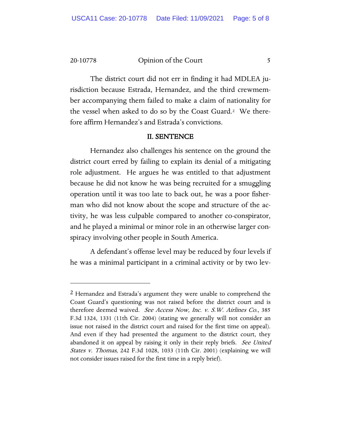20-10778 Opinion of the Court 5

The district court did not err in finding it had MDLEA jurisdiction because Estrada, Hernandez, and the third crewmember accompanying them failed to make a claim of nationality for the vessel when asked to do so by the Coast Guard.[2](#page-4-0) We therefore affirm Hernandez's and Estrada's convictions.

#### II. SENTENCE

Hernandez also challenges his sentence on the ground the district court erred by failing to explain its denial of a mitigating role adjustment. He argues he was entitled to that adjustment because he did not know he was being recruited for a smuggling operation until it was too late to back out, he was a poor fisherman who did not know about the scope and structure of the activity, he was less culpable compared to another co-conspirator, and he played a minimal or minor role in an otherwise larger conspiracy involving other people in South America.

A defendant's offense level may be reduced by four levels if he was a minimal participant in a criminal activity or by two lev-

<span id="page-4-0"></span><sup>&</sup>lt;sup>2</sup> Hernandez and Estrada's argument they were unable to comprehend the Coast Guard's questioning was not raised before the district court and is therefore deemed waived. See Access Now, Inc. v. S.W. Airlines Co., 385 F.3d 1324, 1331 (11th Cir. 2004) (stating we generally will not consider an issue not raised in the district court and raised for the first time on appeal). And even if they had presented the argument to the district court, they abandoned it on appeal by raising it only in their reply briefs. See United States v. Thomas, 242 F.3d 1028, 1033 (11th Cir. 2001) (explaining we will not consider issues raised for the first time in a reply brief).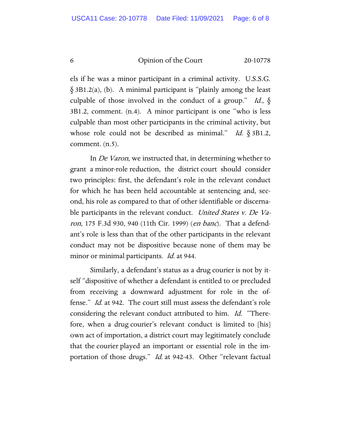els if he was a minor participant in a criminal activity. U.S.S.G.  $\S 3B1.2(a)$ , (b). A minimal participant is "plainly among the least culpable of those involved in the conduct of a group." Id.,  $\delta$ 3B1.2, comment. (n.4). A minor participant is one "who is less culpable than most other participants in the criminal activity, but whose role could not be described as minimal." Id.  $\S 3B1.2$ , comment. (n.5).

In De Varon, we instructed that, in determining whether to grant a minor-role reduction, the district court should consider two principles: first, the defendant's role in the relevant conduct for which he has been held accountable at sentencing and, second, his role as compared to that of other identifiable or discernable participants in the relevant conduct. United States v. De Varon, 175 F.3d 930, 940 (11th Cir. 1999) (en banc). That a defendant's role is less than that of the other participants in the relevant conduct may not be dispositive because none of them may be minor or minimal participants. *Id.* at 944.

Similarly, a defendant's status as a drug courier is not by itself "dispositive of whether a defendant is entitled to or precluded from receiving a downward adjustment for role in the offense." Id. at 942. The court still must assess the defendant's role considering the relevant conduct attributed to him. *Id.* "Therefore, when a drug courier's relevant conduct is limited to [his] own act of importation, a district court may legitimately conclude that the courier played an important or essential role in the importation of those drugs." Id. at 942-43. Other "relevant factual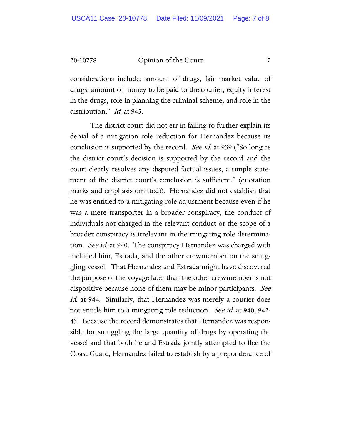20-10778 Opinion of the Court 7

considerations include: amount of drugs, fair market value of drugs, amount of money to be paid to the courier, equity interest in the drugs, role in planning the criminal scheme, and role in the distribution." *Id.* at 945.

The district court did not err in failing to further explain its denial of a mitigation role reduction for Hernandez because its conclusion is supported by the record. *See id.* at 939 ("So long as the district court's decision is supported by the record and the court clearly resolves any disputed factual issues, a simple statement of the district court's conclusion is sufficient." (quotation marks and emphasis omitted)). Hernandez did not establish that he was entitled to a mitigating role adjustment because even if he was a mere transporter in a broader conspiracy, the conduct of individuals not charged in the relevant conduct or the scope of a broader conspiracy is irrelevant in the mitigating role determination. *See id.* at 940. The conspiracy Hernandez was charged with included him, Estrada, and the other crewmember on the smuggling vessel. That Hernandez and Estrada might have discovered the purpose of the voyage later than the other crewmember is not dispositive because none of them may be minor participants. See id. at 944. Similarly, that Hernandez was merely a courier does not entitle him to a mitigating role reduction. See id. at 940, 942-43. Because the record demonstrates that Hernandez was responsible for smuggling the large quantity of drugs by operating the vessel and that both he and Estrada jointly attempted to flee the Coast Guard, Hernandez failed to establish by a preponderance of